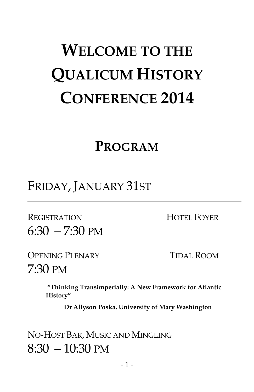# **WELCOME TO THE QUALICUM HISTORY CONFERENCE 2014**

## **PROGRAM**

FRIDAY, JANUARY 31ST

REGISTRATION HOTEL FOYER 6:30 – 7:30 PM

OPENING PLENARY TIDAL ROOM

7:30 PM

**"Thinking Transimperially: A New Framework for Atlantic History"** 

**Dr Allyson Poska, University of Mary Washington**

NO-HOST BAR, MUSIC AND MINGLING  $8:30 - 10:30 \text{ PM}$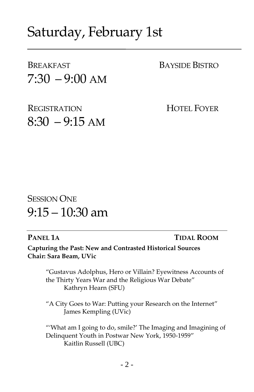## Saturday, February 1st

BREAKFAST BAYSIDE BISTRO  $7:30 - 9:00$  AM

REGISTRATION HOTEL FOYER  $8:30 - 9:15$  AM

## **SESSION ONE**  $9:15 - 10:30$  am

**PANEL 1A TIDAL ROOM**

**Capturing the Past: New and Contrasted Historical Sources Chair: Sara Beam, UVic**

> "Gustavus Adolphus, Hero or Villain? Eyewitness Accounts of the Thirty Years War and the Religious War Debate" Kathryn Hearn (SFU)

"A City Goes to War: Putting your Research on the Internet" James Kempling (UVic)

"'What am I going to do, smile?' The Imaging and Imagining of Delinquent Youth in Postwar New York, 1950-1959" Kaitlin Russell (UBC)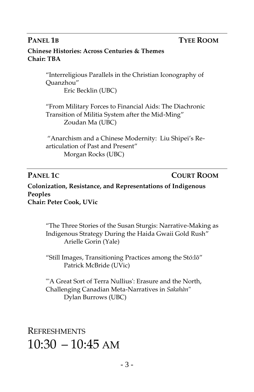### **PANEL 1B TYEE ROOM**

### **Chinese Histories: Across Centuries & Themes Chair: TBA**

"Interreligious Parallels in the Christian Iconography of Quanzhou" Eric Becklin (UBC)

"From Military Forces to Financial Aids: The Diachronic Transition of Militia System after the Mid-Ming" Zoudan Ma (UBC)

"Anarchism and a Chinese Modernity: Liu Shipei's Rearticulation of Past and Present" Morgan Rocks (UBC)

**PANEL 1C COURT ROOM**

**Colonization, Resistance, and Representations of Indigenous Peoples Chair: Peter Cook, UVic**

> "The Three Stories of the Susan Sturgis: Narrative-Making as Indigenous Strategy During the Haida Gwaii Gold Rush" Arielle Gorin (Yale)

"Still Images, Transitioning Practices among the Stó:lō" Patrick McBride (UVic)

"'A Great Sort of Terra Nullius': Erasure and the North, Challenging Canadian Meta-Narratives in *Sakahàn*" Dylan Burrows (UBC)

**REFRESHMENTS**  $10:30 - 10:45$  AM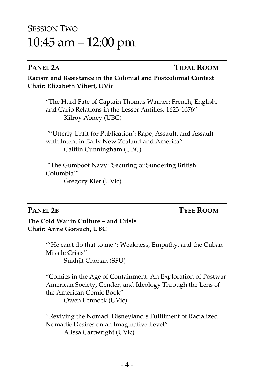## SESSION TWO 10:45 am – 12:00 pm

### **PANEL 2A TIDAL ROOM**

**Racism and Resistance in the Colonial and Postcolonial Context Chair: Elizabeth Vibert, UVic** 

"The Hard Fate of Captain Thomas Warner: French, English, and Carib Relations in the Lesser Antilles, 1623-1676" Kilroy Abney (UBC)

"'Utterly Unfit for Publication': Rape, Assault, and Assault with Intent in Early New Zealand and America" Caitlin Cunningham (UBC)

"The Gumboot Navy: 'Securing or Sundering British Columbia'"

Gregory Kier (UVic)

### **PANEL 2B TYEE ROOM**

**The Cold War in Culture – and Crisis Chair: Anne Gorsuch, UBC**

> "'He can't do that to me!': Weakness, Empathy, and the Cuban Missile Crisis" Sukhjit Chohan (SFU)

"Comics in the Age of Containment: An Exploration of Postwar American Society, Gender, and Ideology Through the Lens of the American Comic Book" Owen Pennock (UVic)

"Reviving the Nomad: Disneyland's Fulfilment of Racialized Nomadic Desires on an Imaginative Level"

Alissa Cartwright (UVic)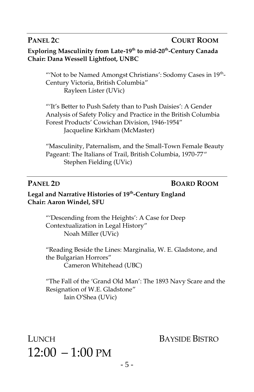### **PANEL 2C COURT ROOM**

**Exploring Masculinity from Late-19th to mid-20th -Century Canada Chair: Dana Wessell Lightfoot, UNBC**

"'Not to be Named Amongst Christians': Sodomy Cases in 19<sup>th</sup>-Century Victoria, British Columbia" Rayleen Lister (UVic)

"'It's Better to Push Safety than to Push Daisies': A Gender Analysis of Safety Policy and Practice in the British Columbia Forest Products' Cowichan Division, 1946-1954" Jacqueline Kirkham (McMaster)

"Masculinity, Paternalism, and the Small-Town Female Beauty Pageant: The Italians of Trail, British Columbia, 1970-77" Stephen Fielding (UVic)

### **PANEL 2D BOARD ROOM**

### **Legal and Narrative Histories of 19th -Century England Chair: Aaron Windel, SFU**

"'Descending from the Heights': A Case for Deep Contextualization in Legal History" Noah Miller (UVic)

"Reading Beside the Lines: Marginalia, W. E. Gladstone, and the Bulgarian Horrors" Cameron Whitehead (UBC)

"The Fall of the 'Grand Old Man': The 1893 Navy Scare and the Resignation of W.E. Gladstone" Iain O'Shea (UVic)

LUNCH BAYSIDE BISTRO  $12:00 - 1:00 \text{ PM}$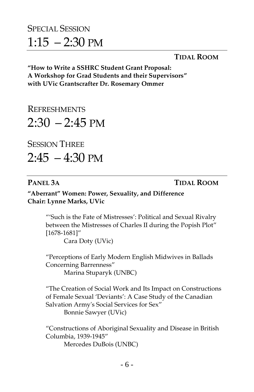## SPECIAL SESSION  $1:15 - 2:30$  PM

### **TIDAL ROOM**

**"How to Write a SSHRC Student Grant Proposal: A Workshop for Grad Students and their Supervisors" with UVic Grantscrafter Dr. Rosemary Ommer**

**REFRESHMENTS**  $2:30 - 2:45$  PM

**SESSION THREE** 

 $2:45 - 4:30 \text{ PM}$ 

**PANEL 3A TIDAL ROOM**

**"Aberrant" Women: Power, Sexuality, and Difference Chair: Lynne Marks, UVic**

> "'Such is the Fate of Mistresses': Political and Sexual Rivalry between the Mistresses of Charles II during the Popish Plot" [1678-1681]"

Cara Doty (UVic)

"Perceptions of Early Modern English Midwives in Ballads Concerning Barrenness"

Marina Stuparyk (UNBC)

"The Creation of Social Work and Its Impact on Constructions of Female Sexual 'Deviants': A Case Study of the Canadian Salvation Army's Social Services for Sex"

Bonnie Sawyer (UVic)

"Constructions of Aboriginal Sexuality and Disease in British Columbia, 1939-1945"

Mercedes DuBois (UNBC)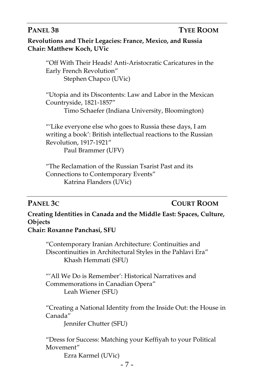### **PANEL 3B TYEE ROOM**

**Revolutions and Their Legacies: France, Mexico, and Russia Chair: Matthew Koch, UVic**

> "Off With Their Heads! Anti-Aristocratic Caricatures in the Early French Revolution" Stephen Chapco (UVic)

> "Utopia and its Discontents: Law and Labor in the Mexican Countryside, 1821-1857"

Timo Schaefer (Indiana University, Bloomington)

"'Like everyone else who goes to Russia these days, I am writing a book': British intellectual reactions to the Russian Revolution, 1917-1921" Paul Brammer (UFV)

"The Reclamation of the Russian Tsarist Past and its Connections to Contemporary Events" Katrina Flanders (UVic)

### **PANEL 3C COURT ROOM**

**Creating Identities in Canada and the Middle East: Spaces, Culture, Objects**

**Chair: Roxanne Panchasi, SFU**

"Contemporary Iranian Architecture: Continuities and Discontinuities in Architectural Styles in the Pahlavi Era" Khash Hemmati (SFU)

"'All We Do is Remember': Historical Narratives and Commemorations in Canadian Opera" Leah Wiener (SFU)

"Creating a National Identity from the Inside Out: the House in Canada"

Jennifer Chutter (SFU)

"Dress for Success: Matching your Keffiyah to your Political Movement"

Ezra Karmel (UVic)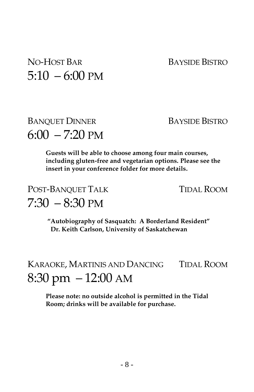## NO-HOST BAR BAYSIDE BISTRO  $5:10 - 6:00 \text{ PM}$

## BANQUET DINNER BAYSIDE BISTRO  $6:00 - 7:20 \text{ PM}$

**Guests will be able to choose among four main courses, including gluten-free and vegetarian options. Please see the insert in your conference folder for more details.**

## POST-BANQUET TALK TIDAL ROOM  $7:30 - 8:30 \text{ PM}$

**"Autobiography of Sasquatch: A Borderland Resident" Dr. Keith Carlson, University of Saskatchewan** 

## KARAOKE, MARTINIS AND DANCING TIDAL ROOM 8:30 pm – 12:00 AM

**Please note: no outside alcohol is permitted in the Tidal Room; drinks will be available for purchase.**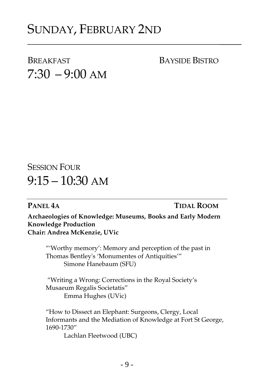## SUNDAY, FEBRUARY 2ND

BREAKFAST BAYSIDE BISTRO  $7:30 - 9:00$  AM

**SESSION FOUR**  $9:15 - 10:30$  AM

### **PANEL 4A TIDAL ROOM**

**Archaeologies of Knowledge: Museums, Books and Early Modern Knowledge Production Chair: Andrea McKenzie, UVic**

"'Worthy memory': Memory and perception of the past in Thomas Bentley's 'Monumentes of Antiquities'" Simone Hanebaum (SFU)

"Writing a Wrong: Corrections in the Royal Society's Musaeum Regalis Societatis" Emma Hughes (UVic)

"How to Dissect an Elephant: Surgeons, Clergy, Local Informants and the Mediation of Knowledge at Fort St George, 1690-1730"

Lachlan Fleetwood (UBC)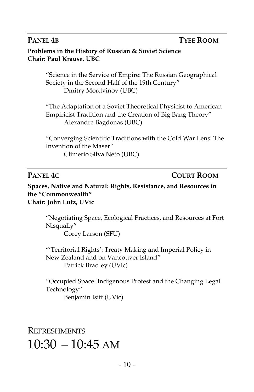### **PANEL 4B TYEE ROOM**

**Problems in the History of Russian & Soviet Science Chair: Paul Krause, UBC**

> "Science in the Service of Empire: The Russian Geographical Society in the Second Half of the 19th Century" Dmitry Mordvinov (UBC)

"The Adaptation of a Soviet Theoretical Physicist to American Empiricist Tradition and the Creation of Big Bang Theory" Alexandre Bagdonas (UBC)

"Converging Scientific Traditions with the Cold War Lens: The Invention of the Maser" Climerio Silva Neto (UBC)

### **PANEL 4C COURT ROOM**

**Spaces, Native and Natural: Rights, Resistance, and Resources in the "Commonwealth" Chair: John Lutz, UVic**

"Negotiating Space, Ecological Practices, and Resources at Fort Nisqually"

Corey Larson (SFU)

"'Territorial Rights': Treaty Making and Imperial Policy in New Zealand and on Vancouver Island" Patrick Bradley (UVic)

"Occupied Space: Indigenous Protest and the Changing Legal Technology" Benjamin Isitt (UVic)

## REFRESHMENTS  $10:30 - 10:45$  AM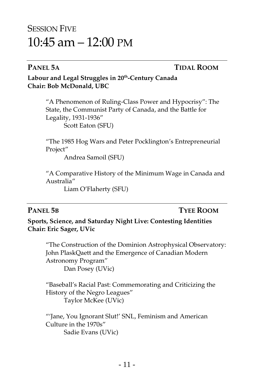## SESSION FIVE 10:45 am – 12:00 PM

### **PANEL 5A TIDAL ROOM**

### **Labour and Legal Struggles in 20th -Century Canada Chair: Bob McDonald, UBC**

"A Phenomenon of Ruling-Class Power and Hypocrisy": The State, the Communist Party of Canada, and the Battle for Legality, 1931-1936" Scott Eaton (SFU)

"The 1985 Hog Wars and Peter Pocklington's Entrepreneurial Project"

Andrea Samoil (SFU)

"A Comparative History of the Minimum Wage in Canada and Australia"

Liam O'Flaherty (SFU)

### **PANEL 5B TYEE ROOM**

**Sports, Science, and Saturday Night Live: Contesting Identities Chair: Eric Sager, UVic**

"The Construction of the Dominion Astrophysical Observatory: John PlaskQaett and the Emergence of Canadian Modern Astronomy Program" Dan Posey (UVic)

"Baseball's Racial Past: Commemorating and Criticizing the History of the Negro Leagues" Taylor McKee (UVic)

"'Jane, You Ignorant Slut!' SNL, Feminism and American Culture in the 1970s" Sadie Evans (UVic)